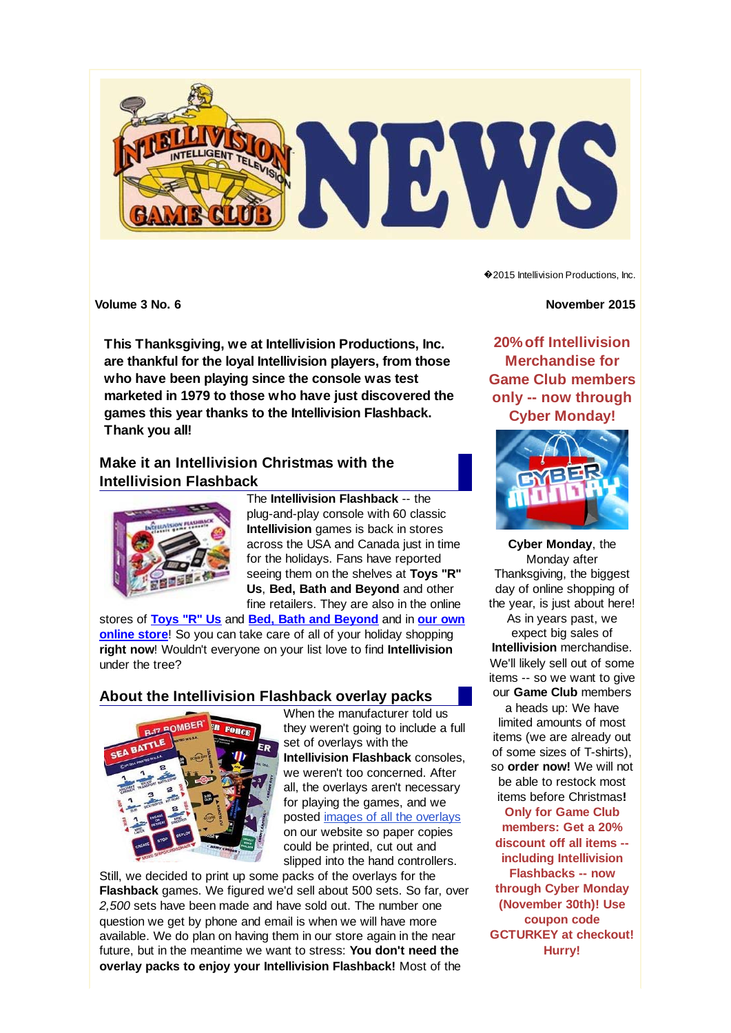

**This Thanksgiving, we at Intellivision Productions, Inc. are thankful for the loyal Intellivision players, from those who have been playing since the console was test marketed in 1979 to those who have just discovered the games this year thanks to the Intellivision Flashback. Thank you all!**

## **Make it an Intellivision Christmas with the Intellivision Flashback**



The **Intellivision Flashback** -- the plug-and-play console with 60 classic **Intellivision** games is back in stores across the USA and Canada just in time for the holidays. Fans have reported seeing them on the shelves at **Toys "R" Us**, **Bed, Bath and Beyond** and other fine retailers. They are also in the online

stores of **Toys "R" Us** and **Bed, Bath and Beyond** and in **our own online store**! So you can take care of all of your holiday shopping **right now**! Wouldn't everyone on your list love to find **Intellivision** under the tree?

### **About the Intellivision Flashback overlay packs**



When the manufacturer told us they weren't going to include a full set of overlays with the **Intellivision Flashback** consoles, we weren't too concerned. After all, the overlays aren't necessary for playing the games, and we posted images of all the overlays on our website so paper copies could be printed, cut out and slipped into the hand controllers.

Still, we decided to print up some packs of the overlays for the **Flashback** games. We figured we'd sell about 500 sets. So far, over *2,500* sets have been made and have sold out. The number one question we get by phone and email is when we will have more available. We do plan on having them in our store again in the near future, but in the meantime we want to stress: **You don't need the overlay packs to enjoy your Intellivision Flashback!** Most of the

◆2015 Intellivision Productions, Inc.

**Volume 3 No. 6** November 2015

**20% off Intellivision Merchandise for Game Club members only -- now through Cyber Monday!**



**Cyber Monday**, the Monday after Thanksgiving, the biggest day of online shopping of the year, is just about here! As in years past, we expect big sales of **Intellivision** merchandise. We'll likely sell out of some items -- so we want to give our **Game Club** members a heads up: We have limited amounts of most items (we are already out of some sizes of T-shirts), so **order now!** We will not be able to restock most items before Christmas**! Only for Game Club members: Get a 20% discount off all items - including Intellivision Flashbacks -- now through Cyber Monday (November 30th)! Use coupon code GCTURKEY at checkout!**

**Hurry!**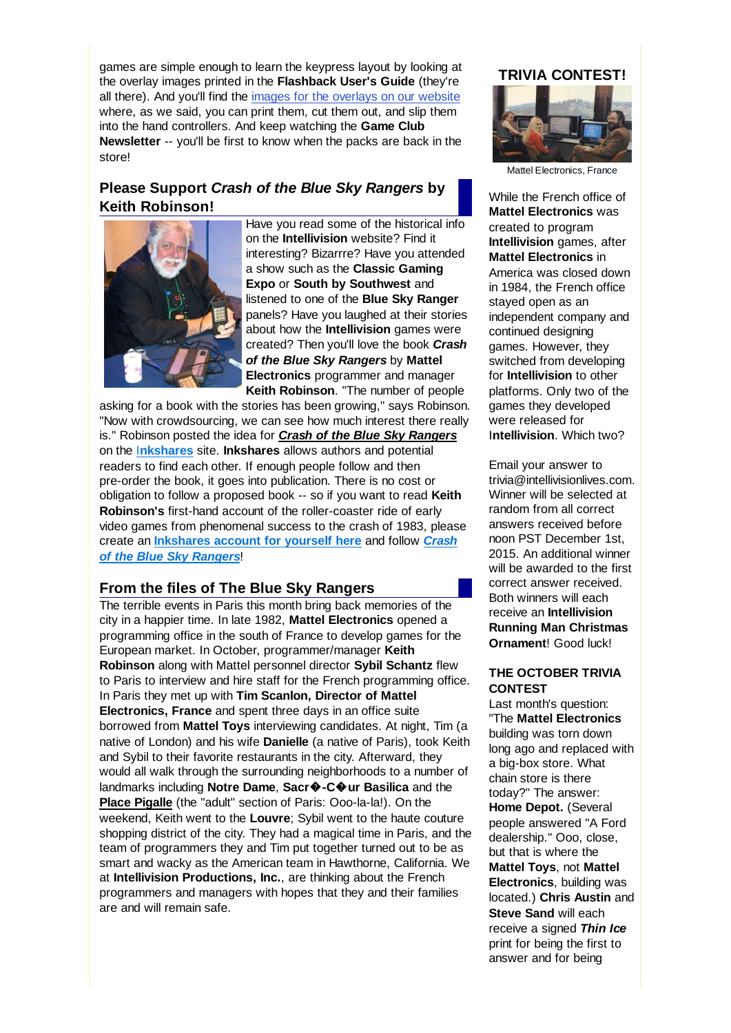games are simple enough to learn the keypress layout by looking at the overlay images printed in the **Flashback User's Guide** (they're all there). And you'll find the images for the overlays on our website where, as we said, you can print them, cut them out, and slip them into the hand controllers. And keep watching the **Game Club Newsletter** -- you'll be first to know when the packs are back in the store!

# **Please Support** *Crash of the Blue Sky Rangers* **by Keith Robinson!**



Have you read some of the historical info on the **Intellivision** website? Find it interesting? Bizarrre? Have you attended a show such as the **Classic Gaming Expo** or **South by Southwest** and listened to one of the **Blue Sky Ranger** panels? Have you laughed at their stories about how the **Intellivision** games were created? Then you'll love the book *Crash of the Blue Sky Rangers* by **Mattel Electronics** programmer and manager **Keith Robinson**. "The number of people

asking for a book with the stories has been growing," says Robinson. "Now with crowdsourcing, we can see how much interest there really is." Robinson posted the idea for *Crash of the Blue Sky Rangers* on the I**nkshares** site. **Inkshares** allows authors and potential readers to find each other. If enough people follow and then pre-order the book, it goes into publication. There is no cost or obligation to follow a proposed book -- so if you want to read **Keith Robinson's** first-hand account of the roller-coaster ride of early video games from phenomenal success to the crash of 1983, please create an **Inkshares account for yourself here** and follow *Crash of the Blue Sky Rangers*!

### **From the files of The Blue Sky Rangers**

The terrible events in Paris this month bring back memories of the city in a happier time. In late 1982, **Mattel Electronics** opened a programming office in the south of France to develop games for the European market. In October, programmer/manager **Keith Robinson** along with Mattel personnel director **Sybil Schantz** flew to Paris to interview and hire staff for the French programming office. In Paris they met up with **Tim Scanlon, Director of Mattel Electronics, France** and spent three days in an office suite borrowed from **Mattel Toys** interviewing candidates. At night, Tim (a native of London) and his wife **Danielle** (a native of Paris), took Keith and Sybil to their favorite restaurants in the city. Afterward, they would all walk through the surrounding neighborhoods to a number of landmarks including **Notre Dame**, **Sacr**�**-C**�**ur Basilica** and the **Place Pigalle** (the "adult" section of Paris: Ooo-la-la!). On the weekend, Keith went to the **Louvre**; Sybil went to the haute couture shopping district of the city. They had a magical time in Paris, and the team of programmers they and Tim put together turned out to be as smart and wacky as the American team in Hawthorne, California. We at **Intellivision Productions, Inc.**, are thinking about the French programmers and managers with hopes that they and their families are and will remain safe.

#### **TRIVIA CONTEST!**



Mattel Electronics, France

While the French office of **Mattel Electronics** was created to program **Intellivision** games, after **Mattel Electronics** in America was closed down in 1984, the French office stayed open as an independent company and continued designing games. However, they switched from developing for **Intellivision** to other platforms. Only two of the games they developed were released for I**ntellivision**. Which two?

Email your answer to trivia@intellivisionlives.com. Winner will be selected at random from all correct answers received before noon PST December 1st, 2015. An additional winner will be awarded to the first correct answer received. Both winners will each receive an **Intellivision Running Man Christmas Ornament**! Good luck!

#### **THE OCTOBER TRIVIA CONTEST**

Last month's question: "The **Mattel Electronics** building was torn down long ago and replaced with a big-box store. What chain store is there today?" The answer: **Home Depot.** (Several people answered "A Ford dealership." Ooo, close, but that is where the **Mattel Toys**, not **Mattel Electronics**, building was located.) **Chris Austin** and **Steve Sand** will each receive a signed *Thin Ice* print for being the first to answer and for being